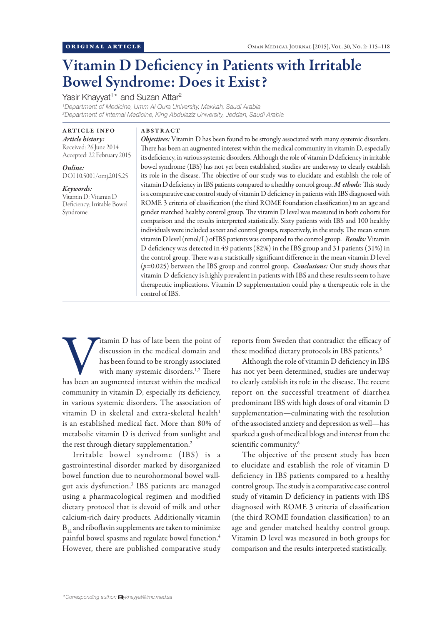# Vitamin D Deficiency in Patients with Irritable Bowel Syndrome: Does it Exist?

Yasir Khayyat<sup>1</sup>\* and Suzan Attar<sup>2</sup>

*1 Department of Medicine, Umm Al Qura University, Makkah, Saudi Arabia 2 Department of Internal Medicine, King Abdulaziz University, Jeddah, Saudi Arabia*

ARTICLE INFO *Article history:*  Received: 26 June 2014 Accepted: 22 February 2015

*Online:* DOI 10.5001/omj.2015.25

*Keywords:*  Vitamin D; Vitamin D Deficiency; Irritable Bowel Syndrome.

### ABSTRACT

*Objectives:* Vitamin D has been found to be strongly associated with many systemic disorders. There has been an augmented interest within the medical community in vitamin D, especially its deficiency, in various systemic disorders. Although the role of vitamin D deficiency in irritable bowel syndrome (IBS) has not yet been established, studies are underway to clearly establish its role in the disease. The objective of our study was to elucidate and establish the role of vitamin D deficiency in IBS patients compared to a healthy control group. *M ethods:*This study is a comparative case control study of vitamin D deficiency in patients with IBS diagnosed with ROME 3 criteria of classification (the third ROME foundation classification) to an age and gender matched healthy control group. The vitamin D level was measured in both cohorts for comparison and the results interpreted statistically. Sixty patients with IBS and 100 healthy individuals were included as test and control groups, respectively, in the study. The mean serum vitamin D level (nmol/L) of IBS patients was compared to the control group. *Results:*Vitamin D deficiency was detected in 49 patients (82%) in the IBS group and 31 patients (31%) in the control group. There was a statistically significant difference in the mean vitamin D level (*p*=0.025) between the IBS group and control group. *Conclusions:* Our study shows that vitamin D deficiency is highly prevalent in patients with IBS and these results seem to have therapeutic implications. Vitamin D supplementation could play a therapeutic role in the control of IBS.

Itamin D has of late been the point of discussion in the medical domain and has been found to be strongly associated with many systemic disorders.<sup>1,2</sup> There has been an augmented interest within the medical discussion in the medical domain and has been found to be strongly associated with many systemic disorders.<sup>1,2</sup> There community in vitamin D, especially its deficiency, in various systemic disorders. The association of vitamin D in skeletal and extra-skeletal health $1$ is an established medical fact. More than 80% of metabolic vitamin D is derived from sunlight and the rest through dietary supplementation.<sup>2</sup>

Irritable bowel syndrome (IBS) is a gastrointestinal disorder marked by disorganized bowel function due to neurohormonal bowel wallgut axis dysfunction.3 IBS patients are managed using a pharmacological regimen and modified dietary protocol that is devoid of milk and other calcium-rich dairy products. Additionally vitamin  $B_{12}$  and riboflavin supplements are taken to minimize painful bowel spasms and regulate bowel function.<sup>4</sup> However, there are published comparative study

reports from Sweden that contradict the efficacy of these modified dietary protocols in IBS patients.<sup>5</sup>

Although the role of vitamin D deficiency in IBS has not yet been determined, studies are underway to clearly establish its role in the disease. The recent report on the successful treatment of diarrhea predominant IBS with high doses of oral vitamin D supplementation—culminating with the resolution of the associated anxiety and depression as well—has sparked a gush of medical blogs and interest from the scientific community.<sup>6</sup>

The objective of the present study has been to elucidate and establish the role of vitamin D deficiency in IBS patients compared to a healthy control group. The study is a comparative case control study of vitamin D deficiency in patients with IBS diagnosed with ROME 3 criteria of classification (the third ROME foundation classification) to an age and gender matched healthy control group. Vitamin D level was measured in both groups for comparison and the results interpreted statistically.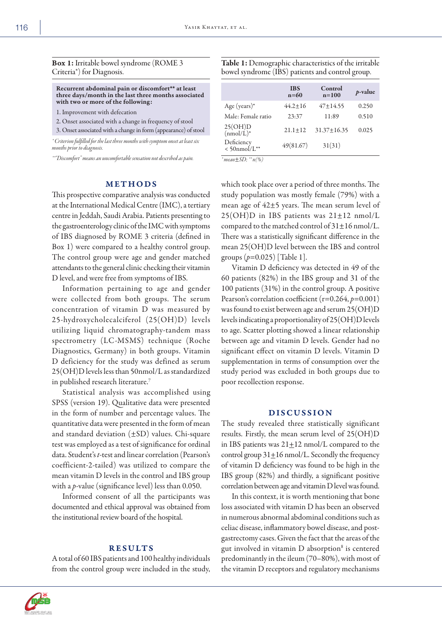| <b>Box 1:</b> Irritable bowel syndrome (ROME 3 |  |
|------------------------------------------------|--|
| Criteria <sup>*</sup> ) for Diagnosis.         |  |

Recurrent abdominal pain or discomfort\*\* at least three days/month in the last three months associated with two or more of the following:

1. Improvement with defecation

2. Onset associated with a change in frequency of stool

3. Onset associated with a change in form (appearance) of stool

*\* Criterion fulfilled for the last three months with symptom onset at least six months prior to diagnosis.*

*\*\*"Discomfort" means an uncomfortable sensation not described as pain.*

## METHODS

This prospective comparative analysis was conducted at the International Medical Centre (IMC), a tertiary centre in Jeddah, Saudi Arabia. Patients presenting to the gastroenterology clinic of the IMC with symptoms of IBS diagnosed by ROME 3 criteria (defined in Box 1) were compared to a healthy control group. The control group were age and gender matched attendants to the general clinic checking their vitamin D level, and were free from symptoms of IBS.

Information pertaining to age and gender were collected from both groups. The serum concentration of vitamin D was measured by 25-hydroxycholecalciferol (25(OH)D) levels utilizing liquid chromatography-tandem mass spectrometry (LC-MSMS) technique (Roche Diagnostics, Germany) in both groups. Vitamin D deficiency for the study was defined as serum 25(OH)D levels less than 50nmol/L as standardized in published research literature.<sup>7</sup>

Statistical analysis was accomplished using SPSS (version 19). Qualitative data were presented in the form of number and percentage values. The quantitative data were presented in the form of mean and standard deviation  $(\pm SD)$  values. Chi-square test was employed as a test of significance for ordinal data. Student's *t*-test and linear correlation (Pearson's coefficient-2-tailed) was utilized to compare the mean vitamin D levels in the control and IBS group with a *p*-value (significance level) less than 0.050.

Informed consent of all the participants was documented and ethical approval was obtained from the institutional review board of the hospital.

## RESULTS

A total of 60 IBS patients and 100 healthy individuals from the control group were included in the study, Table 1: Demographic characteristics of the irritable bowel syndrome (IBS) patients and control group.

|                              | <b>IBS</b><br>$n=60$ | Control<br>$n = 100$ | $p$ -value |
|------------------------------|----------------------|----------------------|------------|
| Age (years) $*$              | $44.2 + 16$          | $47 + 14.55$         | 0.250      |
| Male: Female ratio           | 23:37                | 11:89                | 0.510      |
| 25(OH)D<br>$(nmol/L)^*$      | $21.1 + 12$          | $31.37 + 16.35$      | 0.025      |
| Deficiency<br>$<$ 50nmol/L** | 49(81.67)            | 31(31)               |            |
| $1.072 \times 2.01$          |                      |                      |            |

*\* mean*±*SD; \*\* n(%)*

which took place over a period of three months. The study population was mostly female (79%) with a mean age of 42±5 years. The mean serum level of  $25(OH)D$  in IBS patients was  $21\pm12$  nmol/L compared to the matched control of 31±16 nmol/L. There was a statistically significant difference in the mean 25(OH)D level between the IBS and control groups (*p*=0.025) [Table 1].

Vitamin D deficiency was detected in 49 of the 60 patients (82%) in the IBS group and 31 of the 100 patients (31%) in the control group. A positive Pearson's correlation coefficient (r=0.264, *p*=0.001) was found to exist between age and serum 25(OH)D levels indicating a proportionality of 25(OH)D levels to age. Scatter plotting showed a linear relationship between age and vitamin D levels. Gender had no significant effect on vitamin D levels. Vitamin D supplementation in terms of consumption over the study period was excluded in both groups due to poor recollection response.

## DISCUSSION

The study revealed three statistically significant results. Firstly, the mean serum level of 25(OH)D in IBS patients was  $21\pm12$  nmol/L compared to the control group  $31\pm16$  nmol/L. Secondly the frequency of vitamin D deficiency was found to be high in the IBS group (82%) and thirdly, a significant positive correlation between age and vitamin D level was found.

In this context, it is worth mentioning that bone loss associated with vitamin D has been an observed in numerous abnormal abdominal conditions such as celiac disease, inflammatory bowel disease, and postgastrectomy cases. Given the fact that the areas of the gut involved in vitamin  $D$  absorption<sup>8</sup> is centered predominantly in the ileum (70–80%), with most of the vitamin D receptors and regulatory mechanisms

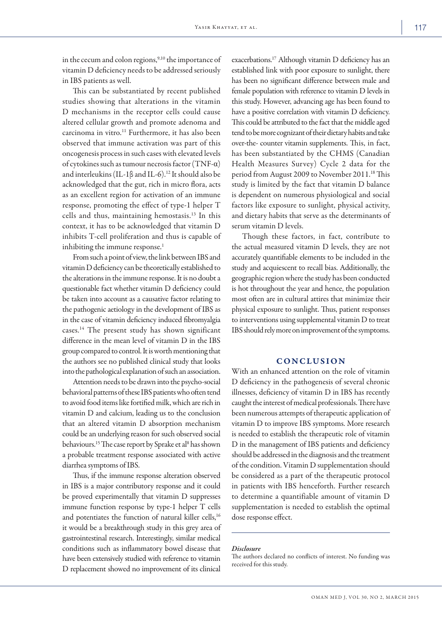in the cecum and colon regions,<sup>9,10</sup> the importance of vitamin D deficiency needs to be addressed seriously in IBS patients as well.

This can be substantiated by recent published studies showing that alterations in the vitamin D mechanisms in the receptor cells could cause altered cellular growth and promote adenoma and carcinoma in vitro.<sup>11</sup> Furthermore, it has also been observed that immune activation was part of this oncogenesis process in such cases with elevated levels of cytokines such as tumour necrosis factor (TNF- $\alpha$ ) and interleukins (IL-1β and IL-6).12 It should also be acknowledged that the gut, rich in micro flora, acts as an excellent region for activation of an immune response, promoting the effect of type-1 helper T cells and thus, maintaining hemostasis.13 In this context, it has to be acknowledged that vitamin D inhibits T-cell proliferation and thus is capable of inhibiting the immune response.<sup>1</sup>

From such a point of view, the link between IBS and vitamin D deficiency can be theoretically established to the alterations in the immune response. It is no doubt a questionable fact whether vitamin D deficiency could be taken into account as a causative factor relating to the pathogenic aetiology in the development of IBS as in the case of vitamin deficiency induced fibromyalgia cases.14 The present study has shown significant difference in the mean level of vitamin D in the IBS group compared to control. It is worth mentioning that the authors see no published clinical study that looks into the pathological explanation of such an association.

Attention needs to be drawn into the psycho-social behavioral patterns of these IBS patients who often tend to avoid food items like fortified milk, which are rich in vitamin D and calcium, leading us to the conclusion that an altered vitamin D absorption mechanism could be an underlying reason for such observed social behaviours.<sup>15</sup> The case report by Sprake et al<sup>8</sup> has shown a probable treatment response associated with active diarrhea symptoms of IBS.

Thus, if the immune response alteration observed in IBS is a major contributory response and it could be proved experimentally that vitamin D suppresses immune function response by type-1 helper T cells and potentiates the function of natural killer cells,<sup>16</sup> it would be a breakthrough study in this grey area of gastrointestinal research. Interestingly, similar medical conditions such as inflammatory bowel disease that have been extensively studied with reference to vitamin D replacement showed no improvement of its clinical

exacerbations.17 Although vitamin D deficiency has an established link with poor exposure to sunlight, there has been no significant difference between male and female population with reference to vitamin D levels in this study. However, advancing age has been found to have a positive correlation with vitamin D deficiency. This could be attributed to the fact that the middle aged tend to be more cognizant of their dietary habits and take over-the- counter vitamin supplements. This, in fact, has been substantiated by the CHMS (Canadian Health Measures Survey) Cycle 2 data for the period from August 2009 to November 2011.<sup>18</sup> This study is limited by the fact that vitamin D balance is dependent on numerous physiological and social factors like exposure to sunlight, physical activity, and dietary habits that serve as the determinants of serum vitamin D levels.

Though these factors, in fact, contribute to the actual measured vitamin D levels, they are not accurately quantifiable elements to be included in the study and acquiescent to recall bias. Additionally, the geographic region where the study has been conducted is hot throughout the year and hence, the population most often are in cultural attires that minimize their physical exposure to sunlight. Thus, patient responses to interventions using supplemental vitamin D to treat IBS should rely more on improvement of the symptoms.

# **CONCLUSION**

With an enhanced attention on the role of vitamin D deficiency in the pathogenesis of several chronic illnesses, deficiency of vitamin D in IBS has recently caught the interest of medical professionals. There have been numerous attempts of therapeutic application of vitamin D to improve IBS symptoms. More research is needed to establish the therapeutic role of vitamin D in the management of IBS patients and deficiency should be addressed in the diagnosis and the treatment of the condition. Vitamin D supplementation should be considered as a part of the therapeutic protocol in patients with IBS henceforth. Further research to determine a quantifiable amount of vitamin D supplementation is needed to establish the optimal dose response effect.

#### *Disclosure*

The authors declared no conflicts of interest. No funding was received for this study.